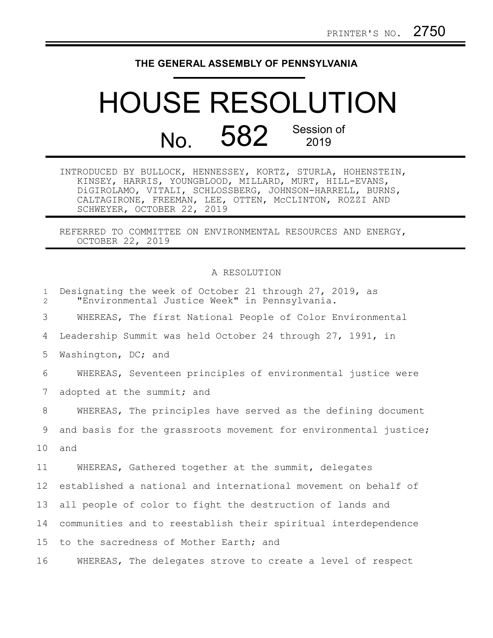## **THE GENERAL ASSEMBLY OF PENNSYLVANIA**

## HOUSE RESOLUTION No. 582 Session of

| INTRODUCED BY BULLOCK, HENNESSEY, KORTZ, STURLA, HOHENSTEIN, |  |  |  |  |  |
|--------------------------------------------------------------|--|--|--|--|--|
| KINSEY, HARRIS, YOUNGBLOOD, MILLARD, MURT, HILL-EVANS,       |  |  |  |  |  |
| DiGIROLAMO, VITALI, SCHLOSSBERG, JOHNSON-HARRELL, BURNS,     |  |  |  |  |  |
| CALTAGIRONE, FREEMAN, LEE, OTTEN, MCCLINTON, ROZZI AND       |  |  |  |  |  |
| SCHWEYER, OCTOBER 22, 2019                                   |  |  |  |  |  |

REFERRED TO COMMITTEE ON ENVIRONMENTAL RESOURCES AND ENERGY, OCTOBER 22, 2019

## A RESOLUTION

| $\mathbf{1}$<br>$\overline{2}$ | Designating the week of October 21 through 27, 2019, as<br>"Environmental Justice Week" in Pennsylvania. |
|--------------------------------|----------------------------------------------------------------------------------------------------------|
| 3                              | WHEREAS, The first National People of Color Environmental                                                |
| 4                              | Leadership Summit was held October 24 through 27, 1991, in                                               |
| 5                              | Washington, DC; and                                                                                      |
| 6                              | WHEREAS, Seventeen principles of environmental justice were                                              |
| 7                              | adopted at the summit; and                                                                               |
| 8                              | WHEREAS, The principles have served as the defining document                                             |
| 9                              | and basis for the grassroots movement for environmental justice;                                         |
| 10                             | and                                                                                                      |
| 11                             | WHEREAS, Gathered together at the summit, delegates                                                      |
| 12                             | established a national and international movement on behalf of                                           |
| 13                             | all people of color to fight the destruction of lands and                                                |
| 14                             | communities and to reestablish their spiritual interdependence                                           |
| 15 <sub>1</sub>                | to the sacredness of Mother Earth; and                                                                   |
| 16                             | WHEREAS, The delegates strove to create a level of respect                                               |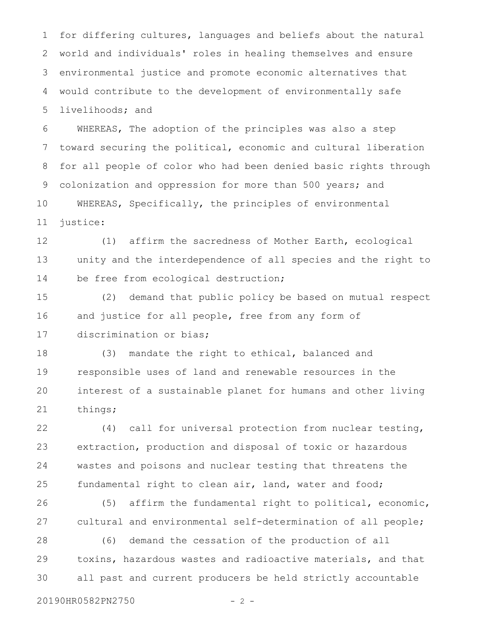for differing cultures, languages and beliefs about the natural world and individuals' roles in healing themselves and ensure environmental justice and promote economic alternatives that would contribute to the development of environmentally safe livelihoods; and 1 2 3 4 5

WHEREAS, The adoption of the principles was also a step toward securing the political, economic and cultural liberation for all people of color who had been denied basic rights through colonization and oppression for more than 500 years; and WHEREAS, Specifically, the principles of environmental justice: 6 7 8 9 10 11

(1) affirm the sacredness of Mother Earth, ecological unity and the interdependence of all species and the right to be free from ecological destruction; 12 13 14

(2) demand that public policy be based on mutual respect and justice for all people, free from any form of discrimination or bias; 15 16 17

(3) mandate the right to ethical, balanced and responsible uses of land and renewable resources in the interest of a sustainable planet for humans and other living things; 18 19 20 21

(4) call for universal protection from nuclear testing, extraction, production and disposal of toxic or hazardous wastes and poisons and nuclear testing that threatens the fundamental right to clean air, land, water and food; 22 23 24 25

(5) affirm the fundamental right to political, economic, cultural and environmental self-determination of all people; 26 27

(6) demand the cessation of the production of all toxins, hazardous wastes and radioactive materials, and that all past and current producers be held strictly accountable 28 29 30

20190HR0582PN2750 - 2 -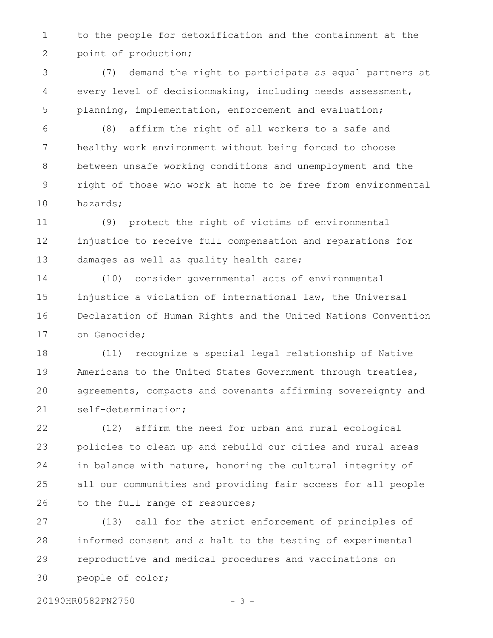to the people for detoxification and the containment at the point of production; 1 2

(7) demand the right to participate as equal partners at every level of decisionmaking, including needs assessment, planning, implementation, enforcement and evaluation; 3 4 5

(8) affirm the right of all workers to a safe and healthy work environment without being forced to choose between unsafe working conditions and unemployment and the right of those who work at home to be free from environmental hazards; 6 7 8 9 10

(9) protect the right of victims of environmental injustice to receive full compensation and reparations for damages as well as quality health care; 11 12 13

(10) consider governmental acts of environmental injustice a violation of international law, the Universal Declaration of Human Rights and the United Nations Convention on Genocide; 14 15 16 17

(11) recognize a special legal relationship of Native Americans to the United States Government through treaties, agreements, compacts and covenants affirming sovereignty and self-determination; 18 19 20 21

(12) affirm the need for urban and rural ecological policies to clean up and rebuild our cities and rural areas in balance with nature, honoring the cultural integrity of all our communities and providing fair access for all people to the full range of resources; 22 23 24 25 26

(13) call for the strict enforcement of principles of informed consent and a halt to the testing of experimental reproductive and medical procedures and vaccinations on people of color; 27 28 29 30

20190HR0582PN2750 - 3 -